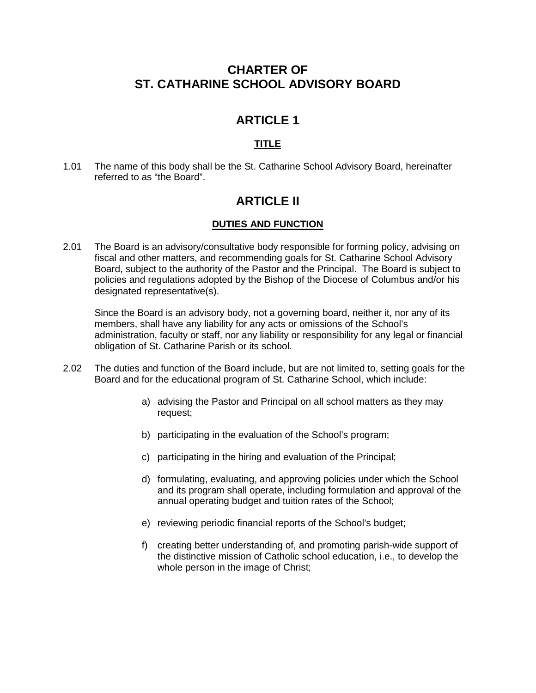## **CHARTER OF ST. CATHARINE SCHOOL ADVISORY BOARD**

# **ARTICLE 1**

## **TITLE**

1.01 The name of this body shall be the St. Catharine School Advisory Board, hereinafter referred to as "the Board".

# **ARTICLE II**

## **DUTIES AND FUNCTION**

2.01 The Board is an advisory/consultative body responsible for forming policy, advising on fiscal and other matters, and recommending goals for St. Catharine School Advisory Board, subject to the authority of the Pastor and the Principal. The Board is subject to policies and regulations adopted by the Bishop of the Diocese of Columbus and/or his designated representative(s).

Since the Board is an advisory body, not a governing board, neither it, nor any of its members, shall have any liability for any acts or omissions of the School's administration, faculty or staff, nor any liability or responsibility for any legal or financial obligation of St. Catharine Parish or its school.

- 2.02 The duties and function of the Board include, but are not limited to, setting goals for the Board and for the educational program of St. Catharine School, which include:
	- a) advising the Pastor and Principal on all school matters as they may request;
	- b) participating in the evaluation of the School's program;
	- c) participating in the hiring and evaluation of the Principal;
	- d) formulating, evaluating, and approving policies under which the School and its program shall operate, including formulation and approval of the annual operating budget and tuition rates of the School;
	- e) reviewing periodic financial reports of the School's budget;
	- f) creating better understanding of, and promoting parish-wide support of the distinctive mission of Catholic school education, i.e., to develop the whole person in the image of Christ;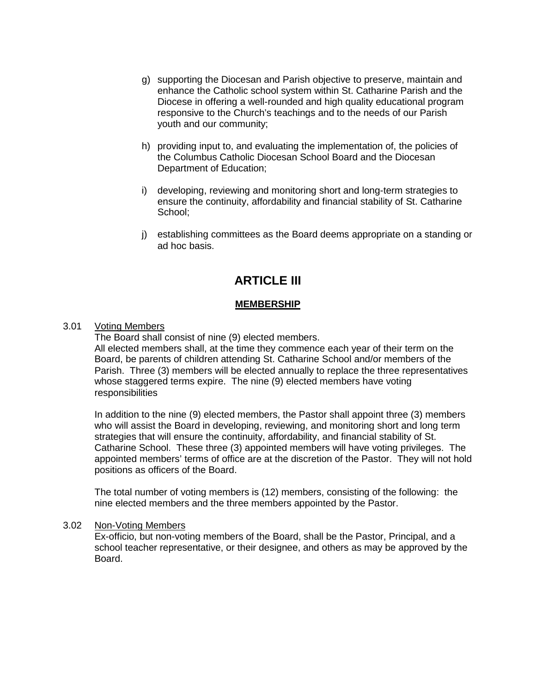- g) supporting the Diocesan and Parish objective to preserve, maintain and enhance the Catholic school system within St. Catharine Parish and the Diocese in offering a well-rounded and high quality educational program responsive to the Church's teachings and to the needs of our Parish youth and our community;
- h) providing input to, and evaluating the implementation of, the policies of the Columbus Catholic Diocesan School Board and the Diocesan Department of Education;
- i) developing, reviewing and monitoring short and long-term strategies to ensure the continuity, affordability and financial stability of St. Catharine School;
- j) establishing committees as the Board deems appropriate on a standing or ad hoc basis.

## **ARTICLE III**

#### **MEMBERSHIP**

#### 3.01 Voting Members

The Board shall consist of nine (9) elected members.

All elected members shall, at the time they commence each year of their term on the Board, be parents of children attending St. Catharine School and/or members of the Parish. Three (3) members will be elected annually to replace the three representatives whose staggered terms expire. The nine (9) elected members have voting responsibilities

In addition to the nine (9) elected members, the Pastor shall appoint three (3) members who will assist the Board in developing, reviewing, and monitoring short and long term strategies that will ensure the continuity, affordability, and financial stability of St. Catharine School. These three (3) appointed members will have voting privileges. The appointed members' terms of office are at the discretion of the Pastor. They will not hold positions as officers of the Board.

The total number of voting members is (12) members, consisting of the following: the nine elected members and the three members appointed by the Pastor.

#### 3.02 Non-Voting Members

Ex-officio, but non-voting members of the Board, shall be the Pastor, Principal, and a school teacher representative, or their designee, and others as may be approved by the Board.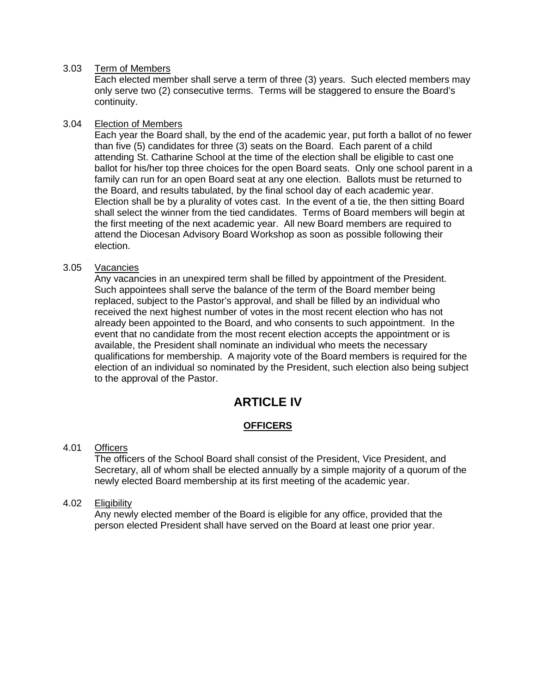#### 3.03 Term of Members

Each elected member shall serve a term of three (3) years. Such elected members may only serve two (2) consecutive terms. Terms will be staggered to ensure the Board's continuity.

#### 3.04 Election of Members

Each year the Board shall, by the end of the academic year, put forth a ballot of no fewer than five (5) candidates for three (3) seats on the Board. Each parent of a child attending St. Catharine School at the time of the election shall be eligible to cast one ballot for his/her top three choices for the open Board seats. Only one school parent in a family can run for an open Board seat at any one election. Ballots must be returned to the Board, and results tabulated, by the final school day of each academic year. Election shall be by a plurality of votes cast. In the event of a tie, the then sitting Board shall select the winner from the tied candidates. Terms of Board members will begin at the first meeting of the next academic year. All new Board members are required to attend the Diocesan Advisory Board Workshop as soon as possible following their election.

#### 3.05 Vacancies

Any vacancies in an unexpired term shall be filled by appointment of the President. Such appointees shall serve the balance of the term of the Board member being replaced, subject to the Pastor's approval, and shall be filled by an individual who received the next highest number of votes in the most recent election who has not already been appointed to the Board, and who consents to such appointment. In the event that no candidate from the most recent election accepts the appointment or is available, the President shall nominate an individual who meets the necessary qualifications for membership. A majority vote of the Board members is required for the election of an individual so nominated by the President, such election also being subject to the approval of the Pastor.

# **ARTICLE IV**

## **OFFICERS**

## 4.01 Officers

The officers of the School Board shall consist of the President, Vice President, and Secretary, all of whom shall be elected annually by a simple majority of a quorum of the newly elected Board membership at its first meeting of the academic year.

## 4.02 Eligibility

Any newly elected member of the Board is eligible for any office, provided that the person elected President shall have served on the Board at least one prior year.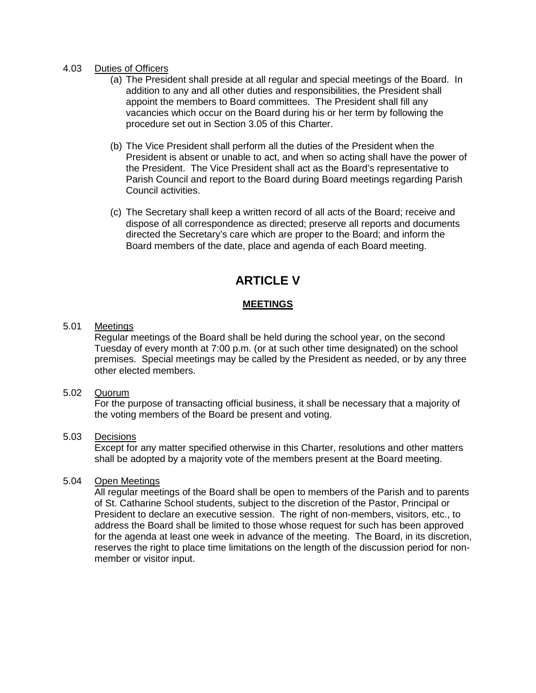#### 4.03 Duties of Officers

- (a) The President shall preside at all regular and special meetings of the Board. In addition to any and all other duties and responsibilities, the President shall appoint the members to Board committees. The President shall fill any vacancies which occur on the Board during his or her term by following the procedure set out in Section 3.05 of this Charter.
- (b) The Vice President shall perform all the duties of the President when the President is absent or unable to act, and when so acting shall have the power of the President. The Vice President shall act as the Board's representative to Parish Council and report to the Board during Board meetings regarding Parish Council activities.
- (c) The Secretary shall keep a written record of all acts of the Board; receive and dispose of all correspondence as directed; preserve all reports and documents directed the Secretary's care which are proper to the Board; and inform the Board members of the date, place and agenda of each Board meeting.

# **ARTICLE V**

#### **MEETINGS**

#### 5.01 Meetings

Regular meetings of the Board shall be held during the school year, on the second Tuesday of every month at 7:00 p.m. (or at such other time designated) on the school premises. Special meetings may be called by the President as needed, or by any three other elected members.

#### 5.02 Quorum

For the purpose of transacting official business, it shall be necessary that a majority of the voting members of the Board be present and voting.

#### 5.03 Decisions

Except for any matter specified otherwise in this Charter, resolutions and other matters shall be adopted by a majority vote of the members present at the Board meeting.

#### 5.04 Open Meetings

All regular meetings of the Board shall be open to members of the Parish and to parents of St. Catharine School students, subject to the discretion of the Pastor, Principal or President to declare an executive session. The right of non-members, visitors, etc., to address the Board shall be limited to those whose request for such has been approved for the agenda at least one week in advance of the meeting. The Board, in its discretion, reserves the right to place time limitations on the length of the discussion period for nonmember or visitor input.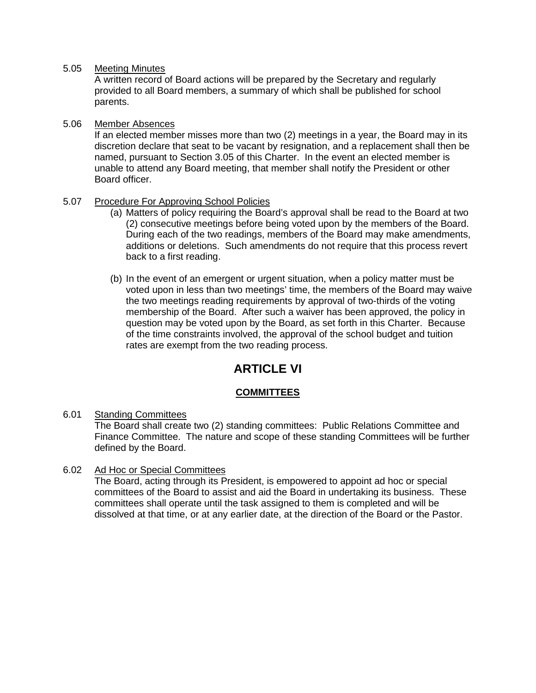#### 5.05 Meeting Minutes

A written record of Board actions will be prepared by the Secretary and regularly provided to all Board members, a summary of which shall be published for school parents.

#### 5.06 Member Absences

If an elected member misses more than two (2) meetings in a year, the Board may in its discretion declare that seat to be vacant by resignation, and a replacement shall then be named, pursuant to Section 3.05 of this Charter. In the event an elected member is unable to attend any Board meeting, that member shall notify the President or other Board officer.

## 5.07 Procedure For Approving School Policies

- (a) Matters of policy requiring the Board's approval shall be read to the Board at two (2) consecutive meetings before being voted upon by the members of the Board. During each of the two readings, members of the Board may make amendments, additions or deletions. Such amendments do not require that this process revert back to a first reading.
- (b) In the event of an emergent or urgent situation, when a policy matter must be voted upon in less than two meetings' time, the members of the Board may waive the two meetings reading requirements by approval of two-thirds of the voting membership of the Board. After such a waiver has been approved, the policy in question may be voted upon by the Board, as set forth in this Charter. Because of the time constraints involved, the approval of the school budget and tuition rates are exempt from the two reading process.

# **ARTICLE VI**

## **COMMITTEES**

6.01 Standing Committees

The Board shall create two (2) standing committees: Public Relations Committee and Finance Committee. The nature and scope of these standing Committees will be further defined by the Board.

## 6.02 Ad Hoc or Special Committees

The Board, acting through its President, is empowered to appoint ad hoc or special committees of the Board to assist and aid the Board in undertaking its business. These committees shall operate until the task assigned to them is completed and will be dissolved at that time, or at any earlier date, at the direction of the Board or the Pastor.